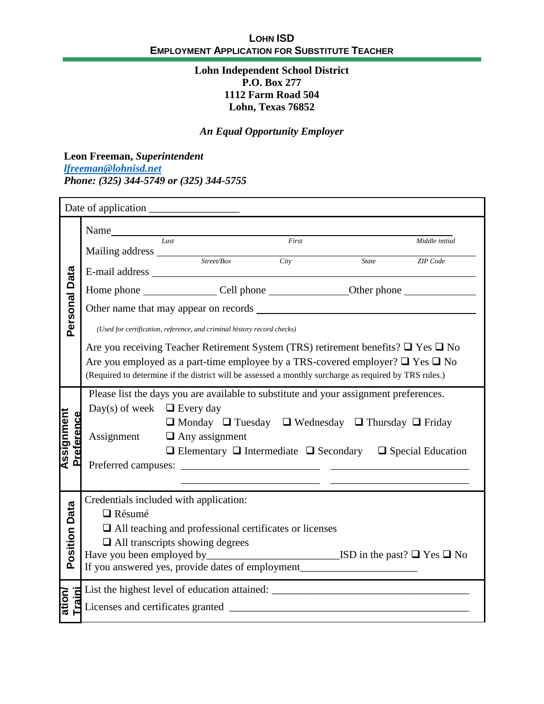### **Lohn Independent School District P.O. Box 277 1112 Farm Road 504 Lohn, Texas 76852**

### *An Equal Opportunity Employer*

**Leon Freeman,** *Superintendent [lfreeman@lohnisd.net](mailto:lfreeman@lohnisd.net) Phone: (325) 344-5749 or (325) 344-5755*

| Data<br><b>Personal</b>                                                                                                                                                                                                                                                                                                                                                                                                                                                                                                                                             |  | Name Iast First First <sub>Last</sub> <sub>Last</sub> <sub>Last</sub> <sub>Last</sub> <sub>Last</sub> <sub>n</sub><br>Mailing address Street/Box City<br>(Used for certification, reference, and criminal history record checks)<br>Are you receiving Teacher Retirement System (TRS) retirement benefits? $\Box$ Yes $\Box$ No |  | State <b>ZIP</b> Code | Middle initial |
|---------------------------------------------------------------------------------------------------------------------------------------------------------------------------------------------------------------------------------------------------------------------------------------------------------------------------------------------------------------------------------------------------------------------------------------------------------------------------------------------------------------------------------------------------------------------|--|---------------------------------------------------------------------------------------------------------------------------------------------------------------------------------------------------------------------------------------------------------------------------------------------------------------------------------|--|-----------------------|----------------|
| Are you employed as a part-time employee by a TRS-covered employer? $\Box$ Yes $\Box$ No<br>(Required to determine if the district will be assessed a monthly surcharge as required by TRS rules.)<br>Please list the days you are available to substitute and your assignment preferences.<br>Day(s) of week $\Box$ Every day<br>Assignment<br>Preference<br>$\Box$ Monday $\Box$ Tuesday $\Box$ Wednesday $\Box$ Thursday $\Box$ Friday<br>$\Box$ Any assignment<br>Assignment<br>$\Box$ Elementary $\Box$ Intermediate $\Box$ Secondary $\Box$ Special Education |  |                                                                                                                                                                                                                                                                                                                                 |  |                       |                |
| the contract of the contract of the contract of the contract of the<br>Credentials included with application:<br>Data<br>$\Box$ Résumé<br>$\Box$ All teaching and professional certificates or licenses<br>Position<br>$\Box$ All transcripts showing degrees<br>Have you been employed by_________________________________ISD in the past? □ Yes □ No<br>If you answered yes, provide dates of employment________________________________                                                                                                                          |  |                                                                                                                                                                                                                                                                                                                                 |  |                       |                |
| ation                                                                                                                                                                                                                                                                                                                                                                                                                                                                                                                                                               |  | List the highest level of education attained:                                                                                                                                                                                                                                                                                   |  |                       |                |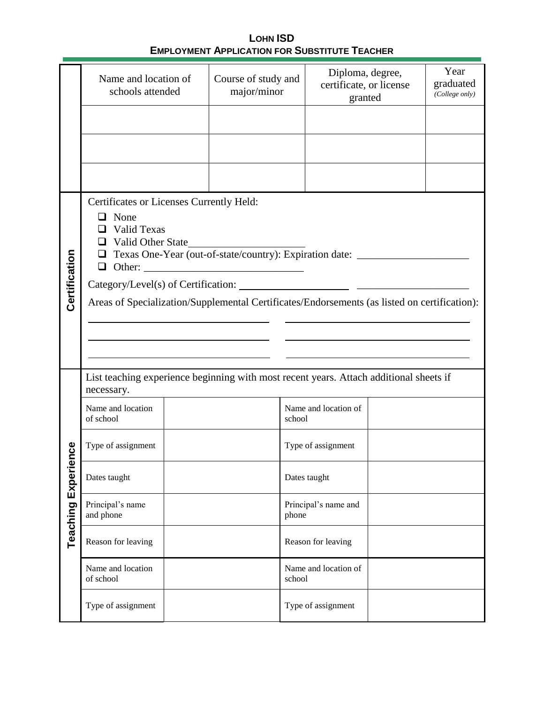|                         | Name and location of<br>schools attended                                                                                                                                                                                                                                                      | Course of study and<br>major/minor | Diploma, degree,<br>certificate, or license<br>granted |  | Year<br>graduated<br>(College only) |  |  |
|-------------------------|-----------------------------------------------------------------------------------------------------------------------------------------------------------------------------------------------------------------------------------------------------------------------------------------------|------------------------------------|--------------------------------------------------------|--|-------------------------------------|--|--|
|                         |                                                                                                                                                                                                                                                                                               |                                    |                                                        |  |                                     |  |  |
|                         |                                                                                                                                                                                                                                                                                               |                                    |                                                        |  |                                     |  |  |
|                         |                                                                                                                                                                                                                                                                                               |                                    |                                                        |  |                                     |  |  |
| Certification           | Certificates or Licenses Currently Held:<br>$\Box$ None<br>$\Box$ Valid Texas<br>$\Box$ Valid Other State<br>Texas One-Year (out-of-state/country): Expiration date: ________________________<br>Areas of Specialization/Supplemental Certificates/Endorsements (as listed on certification): |                                    |                                                        |  |                                     |  |  |
|                         | List teaching experience beginning with most recent years. Attach additional sheets if<br>necessary.                                                                                                                                                                                          |                                    |                                                        |  |                                     |  |  |
|                         | Name and location<br>of school                                                                                                                                                                                                                                                                | school                             | Name and location of                                   |  |                                     |  |  |
| <b>OCB</b>              | Type of assignment                                                                                                                                                                                                                                                                            |                                    | Type of assignment                                     |  |                                     |  |  |
|                         | Dates taught                                                                                                                                                                                                                                                                                  |                                    | Dates taught                                           |  |                                     |  |  |
| <b>Teaching Experie</b> | Principal's name<br>and phone                                                                                                                                                                                                                                                                 | phone                              | Principal's name and                                   |  |                                     |  |  |
|                         | Reason for leaving                                                                                                                                                                                                                                                                            |                                    | Reason for leaving                                     |  |                                     |  |  |
|                         | Name and location<br>of school                                                                                                                                                                                                                                                                | school                             | Name and location of                                   |  |                                     |  |  |
|                         | Type of assignment<br>Type of assignment                                                                                                                                                                                                                                                      |                                    |                                                        |  |                                     |  |  |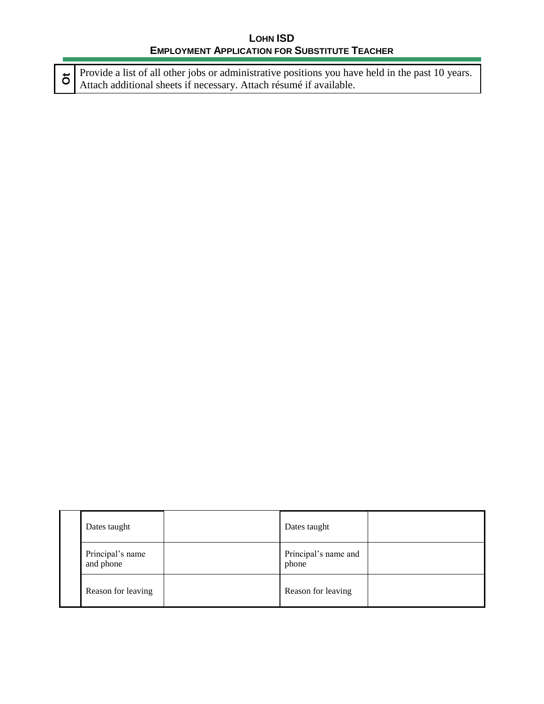**Ot Provide a list of all other jobs or administrative positions you have held in the past 10 years.<br>Attach additional sheets if necessary Attach résumé if available** Attach additional sheets if necessary. Attach résumé if available.

|  | Dates taught                  |  | Dates taught                  |  |  |
|--|-------------------------------|--|-------------------------------|--|--|
|  | Principal's name<br>and phone |  | Principal's name and<br>phone |  |  |
|  | Reason for leaving            |  | Reason for leaving            |  |  |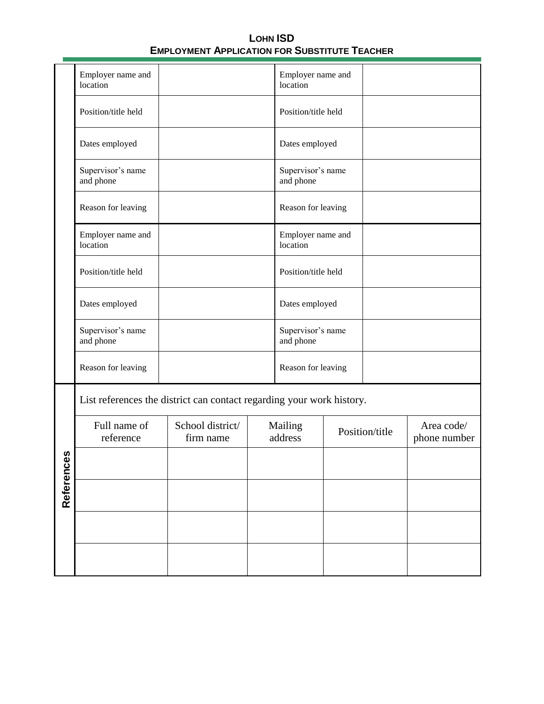|          | Employer name and<br>location                                         |                               |  | Employer name and<br>location  |  |                |                            |
|----------|-----------------------------------------------------------------------|-------------------------------|--|--------------------------------|--|----------------|----------------------------|
|          | Position/title held                                                   |                               |  | Position/title held            |  |                |                            |
|          | Dates employed                                                        |                               |  | Dates employed                 |  |                |                            |
|          | Supervisor's name<br>and phone                                        |                               |  | Supervisor's name<br>and phone |  |                |                            |
|          | Reason for leaving                                                    |                               |  | Reason for leaving             |  |                |                            |
|          | Employer name and<br>location                                         |                               |  | Employer name and<br>location  |  |                |                            |
|          | Position/title held                                                   |                               |  | Position/title held            |  |                |                            |
|          | Dates employed                                                        |                               |  | Dates employed                 |  |                |                            |
|          | Supervisor's name<br>and phone                                        |                               |  | Supervisor's name<br>and phone |  |                |                            |
|          | Reason for leaving                                                    |                               |  | Reason for leaving             |  |                |                            |
|          | List references the district can contact regarding your work history. |                               |  |                                |  |                |                            |
|          | Full name of<br>reference                                             | School district/<br>firm name |  | Mailing<br>address             |  | Position/title | Area code/<br>phone number |
| n<br>ሰነ  |                                                                       |                               |  |                                |  |                |                            |
| Referenc |                                                                       |                               |  |                                |  |                |                            |
|          |                                                                       |                               |  |                                |  |                |                            |
|          |                                                                       |                               |  |                                |  |                |                            |